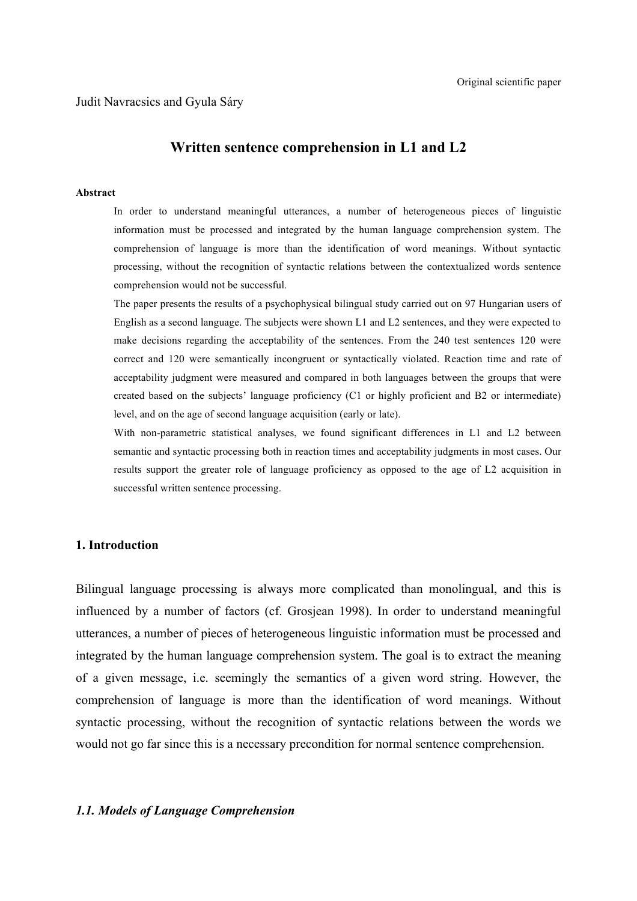# **Written sentence comprehension in L1 and L2**

#### **Abstract**

In order to understand meaningful utterances, a number of heterogeneous pieces of linguistic information must be processed and integrated by the human language comprehension system. The comprehension of language is more than the identification of word meanings. Without syntactic processing, without the recognition of syntactic relations between the contextualized words sentence comprehension would not be successful.

The paper presents the results of a psychophysical bilingual study carried out on 97 Hungarian users of English as a second language. The subjects were shown L1 and L2 sentences, and they were expected to make decisions regarding the acceptability of the sentences. From the 240 test sentences 120 were correct and 120 were semantically incongruent or syntactically violated. Reaction time and rate of acceptability judgment were measured and compared in both languages between the groups that were created based on the subjects' language proficiency (C1 or highly proficient and B2 or intermediate) level, and on the age of second language acquisition (early or late).

With non-parametric statistical analyses, we found significant differences in L1 and L2 between semantic and syntactic processing both in reaction times and acceptability judgments in most cases. Our results support the greater role of language proficiency as opposed to the age of L2 acquisition in successful written sentence processing.

## **1. Introduction**

Bilingual language processing is always more complicated than monolingual, and this is influenced by a number of factors (cf. Grosjean 1998). In order to understand meaningful utterances, a number of pieces of heterogeneous linguistic information must be processed and integrated by the human language comprehension system. The goal is to extract the meaning of a given message, i.e. seemingly the semantics of a given word string. However, the comprehension of language is more than the identification of word meanings. Without syntactic processing, without the recognition of syntactic relations between the words we would not go far since this is a necessary precondition for normal sentence comprehension.

#### *1.1. Models of Language Comprehension*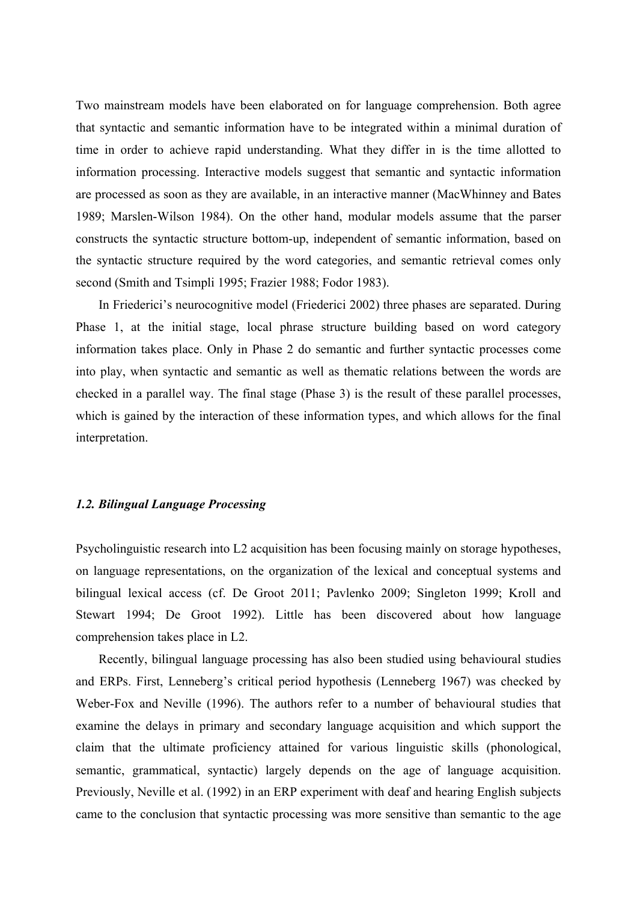Two mainstream models have been elaborated on for language comprehension. Both agree that syntactic and semantic information have to be integrated within a minimal duration of time in order to achieve rapid understanding. What they differ in is the time allotted to information processing. Interactive models suggest that semantic and syntactic information are processed as soon as they are available, in an interactive manner (MacWhinney and Bates 1989; Marslen-Wilson 1984). On the other hand, modular models assume that the parser constructs the syntactic structure bottom-up, independent of semantic information, based on the syntactic structure required by the word categories, and semantic retrieval comes only second (Smith and Tsimpli 1995; Frazier 1988; Fodor 1983).

In Friederici's neurocognitive model (Friederici 2002) three phases are separated. During Phase 1, at the initial stage, local phrase structure building based on word category information takes place. Only in Phase 2 do semantic and further syntactic processes come into play, when syntactic and semantic as well as thematic relations between the words are checked in a parallel way. The final stage (Phase 3) is the result of these parallel processes, which is gained by the interaction of these information types, and which allows for the final interpretation.

#### *1.2. Bilingual Language Processing*

Psycholinguistic research into L2 acquisition has been focusing mainly on storage hypotheses, on language representations, on the organization of the lexical and conceptual systems and bilingual lexical access (cf. De Groot 2011; Pavlenko 2009; Singleton 1999; Kroll and Stewart 1994; De Groot 1992). Little has been discovered about how language comprehension takes place in L2.

Recently, bilingual language processing has also been studied using behavioural studies and ERPs. First, Lenneberg's critical period hypothesis (Lenneberg 1967) was checked by Weber-Fox and Neville (1996). The authors refer to a number of behavioural studies that examine the delays in primary and secondary language acquisition and which support the claim that the ultimate proficiency attained for various linguistic skills (phonological, semantic, grammatical, syntactic) largely depends on the age of language acquisition. Previously, Neville et al. (1992) in an ERP experiment with deaf and hearing English subjects came to the conclusion that syntactic processing was more sensitive than semantic to the age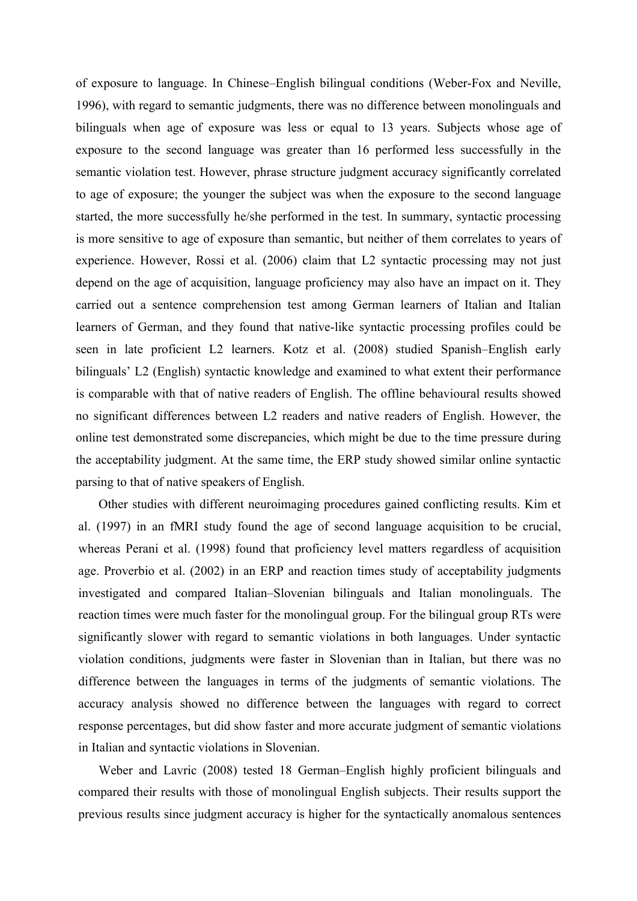of exposure to language. In Chinese–English bilingual conditions (Weber-Fox and Neville, 1996), with regard to semantic judgments, there was no difference between monolinguals and bilinguals when age of exposure was less or equal to 13 years. Subjects whose age of exposure to the second language was greater than 16 performed less successfully in the semantic violation test. However, phrase structure judgment accuracy significantly correlated to age of exposure; the younger the subject was when the exposure to the second language started, the more successfully he/she performed in the test. In summary, syntactic processing is more sensitive to age of exposure than semantic, but neither of them correlates to years of experience. However, Rossi et al. (2006) claim that L2 syntactic processing may not just depend on the age of acquisition, language proficiency may also have an impact on it. They carried out a sentence comprehension test among German learners of Italian and Italian learners of German, and they found that native-like syntactic processing profiles could be seen in late proficient L2 learners. Kotz et al. (2008) studied Spanish–English early bilinguals' L2 (English) syntactic knowledge and examined to what extent their performance is comparable with that of native readers of English. The offline behavioural results showed no significant differences between L2 readers and native readers of English. However, the online test demonstrated some discrepancies, which might be due to the time pressure during the acceptability judgment. At the same time, the ERP study showed similar online syntactic parsing to that of native speakers of English.

Other studies with different neuroimaging procedures gained conflicting results. Kim et al. (1997) in an fMRI study found the age of second language acquisition to be crucial, whereas Perani et al. (1998) found that proficiency level matters regardless of acquisition age. Proverbio et al. (2002) in an ERP and reaction times study of acceptability judgments investigated and compared Italian–Slovenian bilinguals and Italian monolinguals. The reaction times were much faster for the monolingual group. For the bilingual group RTs were significantly slower with regard to semantic violations in both languages. Under syntactic violation conditions, judgments were faster in Slovenian than in Italian, but there was no difference between the languages in terms of the judgments of semantic violations. The accuracy analysis showed no difference between the languages with regard to correct response percentages, but did show faster and more accurate judgment of semantic violations in Italian and syntactic violations in Slovenian.

Weber and Lavric (2008) tested 18 German–English highly proficient bilinguals and compared their results with those of monolingual English subjects. Their results support the previous results since judgment accuracy is higher for the syntactically anomalous sentences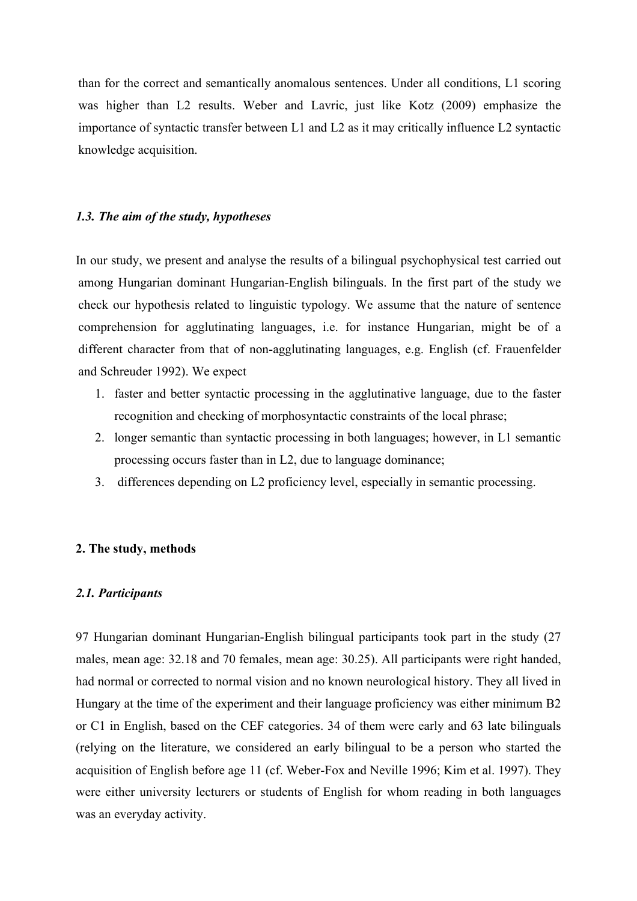than for the correct and semantically anomalous sentences. Under all conditions, L1 scoring was higher than L2 results. Weber and Lavric, just like Kotz (2009) emphasize the importance of syntactic transfer between L1 and L2 as it may critically influence L2 syntactic knowledge acquisition.

## *1.3. The aim of the study, hypotheses*

In our study, we present and analyse the results of a bilingual psychophysical test carried out among Hungarian dominant Hungarian-English bilinguals. In the first part of the study we check our hypothesis related to linguistic typology. We assume that the nature of sentence comprehension for agglutinating languages, i.e. for instance Hungarian, might be of a different character from that of non-agglutinating languages, e.g. English (cf. Frauenfelder and Schreuder 1992). We expect

- 1. faster and better syntactic processing in the agglutinative language, due to the faster recognition and checking of morphosyntactic constraints of the local phrase;
- 2. longer semantic than syntactic processing in both languages; however, in L1 semantic processing occurs faster than in L2, due to language dominance;
- 3. differences depending on L2 proficiency level, especially in semantic processing.

## **2. The study, methods**

# *2.1. Participants*

97 Hungarian dominant Hungarian-English bilingual participants took part in the study (27 males, mean age: 32.18 and 70 females, mean age: 30.25). All participants were right handed, had normal or corrected to normal vision and no known neurological history. They all lived in Hungary at the time of the experiment and their language proficiency was either minimum B2 or C1 in English, based on the CEF categories. 34 of them were early and 63 late bilinguals (relying on the literature, we considered an early bilingual to be a person who started the acquisition of English before age 11 (cf. Weber-Fox and Neville 1996; Kim et al. 1997). They were either university lecturers or students of English for whom reading in both languages was an everyday activity.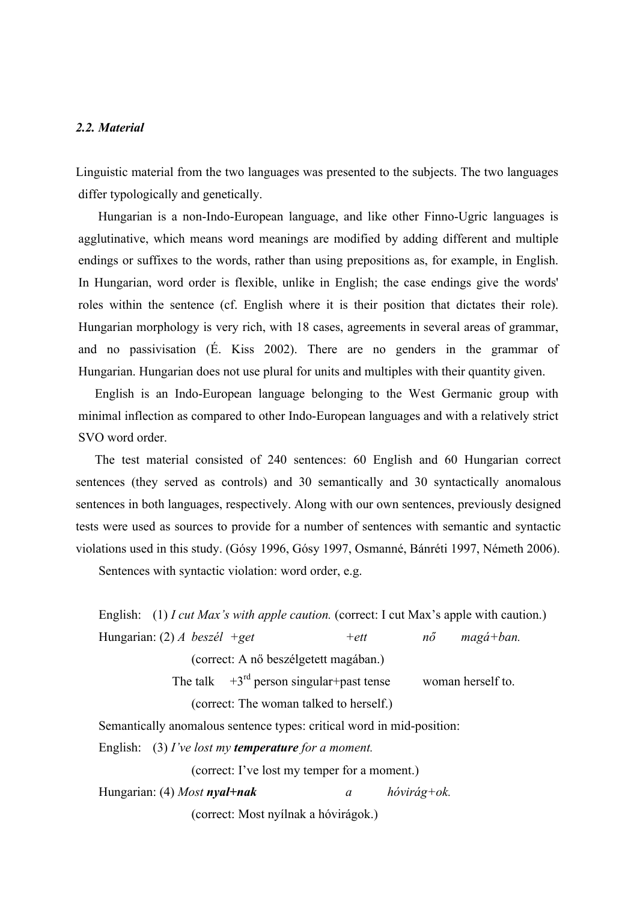# *2.2. Material*

Linguistic material from the two languages was presented to the subjects. The two languages differ typologically and genetically.

Hungarian is a non-Indo-European language, and like other Finno-Ugric languages is agglutinative, which means word meanings are modified by adding different and multiple endings or suffixes to the words, rather than using prepositions as, for example, in English. In Hungarian, word order is flexible, unlike in English; the case endings give the words' roles within the sentence (cf. English where it is their position that dictates their role). Hungarian morphology is very rich, with 18 cases, agreements in several areas of grammar, and no passivisation (É. Kiss 2002). There are no genders in the grammar of Hungarian. Hungarian does not use plural for units and multiples with their quantity given.

English is an Indo-European language belonging to the West Germanic group with minimal inflection as compared to other Indo-European languages and with a relatively strict SVO word order.

The test material consisted of 240 sentences: 60 English and 60 Hungarian correct sentences (they served as controls) and 30 semantically and 30 syntactically anomalous sentences in both languages, respectively. Along with our own sentences, previously designed tests were used as sources to provide for a number of sentences with semantic and syntactic violations used in this study. (Gósy 1996, Gósy 1997, Osmanné, Bánréti 1997, Németh 2006).

Sentences with syntactic violation: word order, e.g.

English: (1) *I cut Max's with apple caution.* (correct: I cut Max's apple with caution.) Hungarian: (2) *A beszél +get +ett nő magá+ban.*  (correct: A nő beszélgetett magában.) The talk  $+3^{rd}$  person singular+past tense woman herself to. (correct: The woman talked to herself.) Semantically anomalous sentence types: critical word in mid-position:

English: (3) *I've lost my temperature for a moment.* 

(correct: I've lost my temper for a moment.)

Hungarian: (4) *Most nyal+nak a hóvirág+ok.* 

(correct: Most nyílnak a hóvirágok.)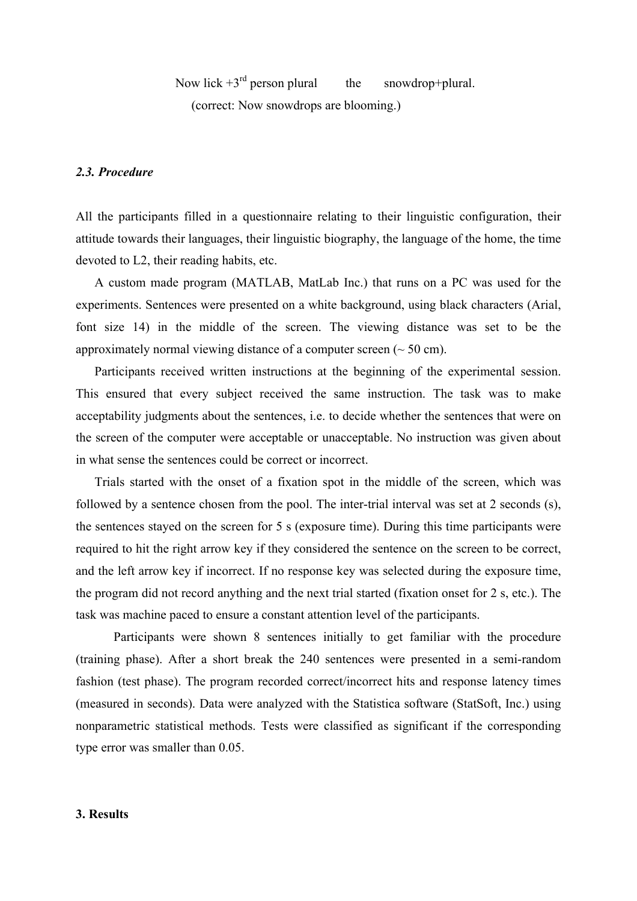Now lick  $+3^{rd}$  person plural the snowdrop+plural. (correct: Now snowdrops are blooming.)

# *2.3. Procedure*

All the participants filled in a questionnaire relating to their linguistic configuration, their attitude towards their languages, their linguistic biography, the language of the home, the time devoted to L2, their reading habits, etc.

A custom made program (MATLAB, MatLab Inc.) that runs on a PC was used for the experiments. Sentences were presented on a white background, using black characters (Arial, font size 14) in the middle of the screen. The viewing distance was set to be the approximately normal viewing distance of a computer screen  $($   $\sim$  50 cm).

Participants received written instructions at the beginning of the experimental session. This ensured that every subject received the same instruction. The task was to make acceptability judgments about the sentences, i.e. to decide whether the sentences that were on the screen of the computer were acceptable or unacceptable. No instruction was given about in what sense the sentences could be correct or incorrect.

Trials started with the onset of a fixation spot in the middle of the screen, which was followed by a sentence chosen from the pool. The inter-trial interval was set at 2 seconds (s), the sentences stayed on the screen for 5 s (exposure time). During this time participants were required to hit the right arrow key if they considered the sentence on the screen to be correct, and the left arrow key if incorrect. If no response key was selected during the exposure time, the program did not record anything and the next trial started (fixation onset for 2 s, etc.). The task was machine paced to ensure a constant attention level of the participants.

Participants were shown 8 sentences initially to get familiar with the procedure (training phase). After a short break the 240 sentences were presented in a semi-random fashion (test phase). The program recorded correct/incorrect hits and response latency times (measured in seconds). Data were analyzed with the Statistica software (StatSoft, Inc.) using nonparametric statistical methods. Tests were classified as significant if the corresponding type error was smaller than 0.05.

# **3. Results**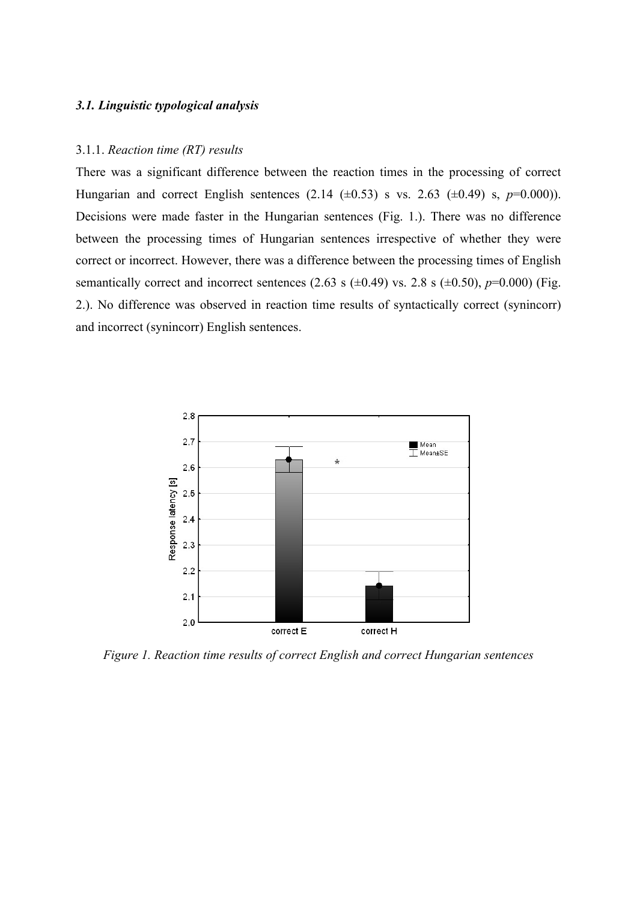#### *3.1. Linguistic typological analysis*

### 3.1.1. *Reaction time (RT) results*

There was a significant difference between the reaction times in the processing of correct Hungarian and correct English sentences  $(2.14 \pm 0.53)$  s vs. 2.63  $(\pm 0.49)$  s,  $p=0.000$ )). Decisions were made faster in the Hungarian sentences (Fig. 1.). There was no difference between the processing times of Hungarian sentences irrespective of whether they were correct or incorrect. However, there was a difference between the processing times of English semantically correct and incorrect sentences (2.63 s  $(\pm 0.49)$  vs. 2.8 s  $(\pm 0.50)$ , *p*=0.000) (Fig. 2.). No difference was observed in reaction time results of syntactically correct (synincorr) and incorrect (synincorr) English sentences.



*Figure 1. Reaction time results of correct English and correct Hungarian sentences*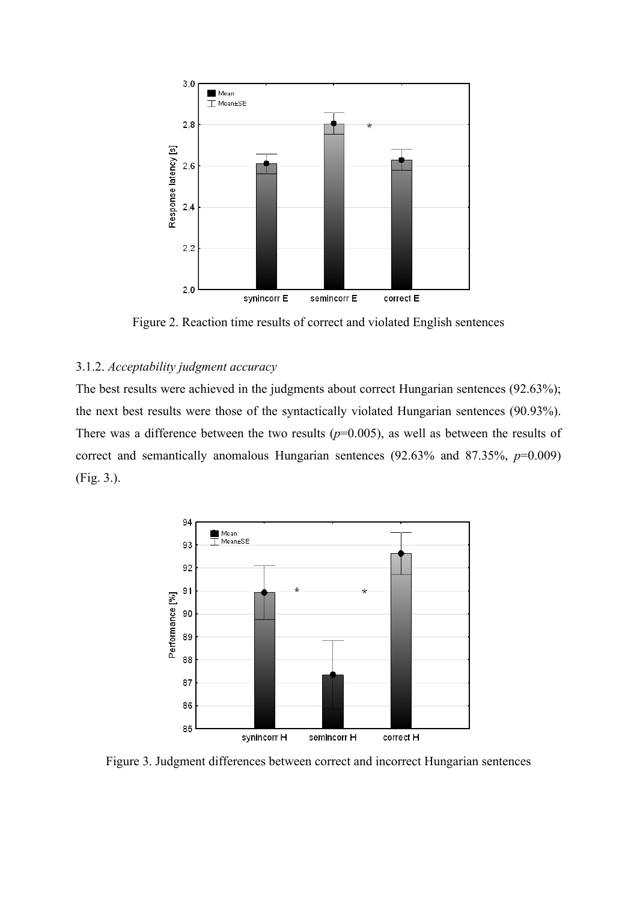

Figure 2. Reaction time results of correct and violated English sentences

# 3.1.2. *Acceptability judgment accuracy*

The best results were achieved in the judgments about correct Hungarian sentences (92.63%); the next best results were those of the syntactically violated Hungarian sentences (90.93%). There was a difference between the two results  $(p=0.005)$ , as well as between the results of correct and semantically anomalous Hungarian sentences (92.63% and 87.35%, *p*=0.009) (Fig. 3.).



Figure 3. Judgment differences between correct and incorrect Hungarian sentences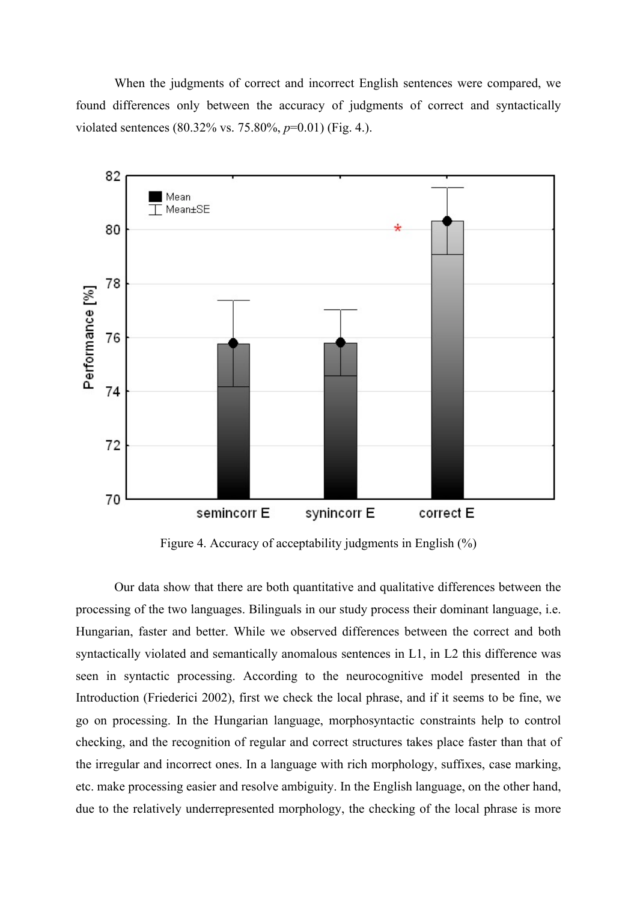When the judgments of correct and incorrect English sentences were compared, we found differences only between the accuracy of judgments of correct and syntactically violated sentences (80.32% vs. 75.80%, *p*=0.01) (Fig. 4.).



Figure 4. Accuracy of acceptability judgments in English (%)

Our data show that there are both quantitative and qualitative differences between the processing of the two languages. Bilinguals in our study process their dominant language, i.e. Hungarian, faster and better. While we observed differences between the correct and both syntactically violated and semantically anomalous sentences in L1, in L2 this difference was seen in syntactic processing. According to the neurocognitive model presented in the Introduction (Friederici 2002), first we check the local phrase, and if it seems to be fine, we go on processing. In the Hungarian language, morphosyntactic constraints help to control checking, and the recognition of regular and correct structures takes place faster than that of the irregular and incorrect ones. In a language with rich morphology, suffixes, case marking, etc. make processing easier and resolve ambiguity. In the English language, on the other hand, due to the relatively underrepresented morphology, the checking of the local phrase is more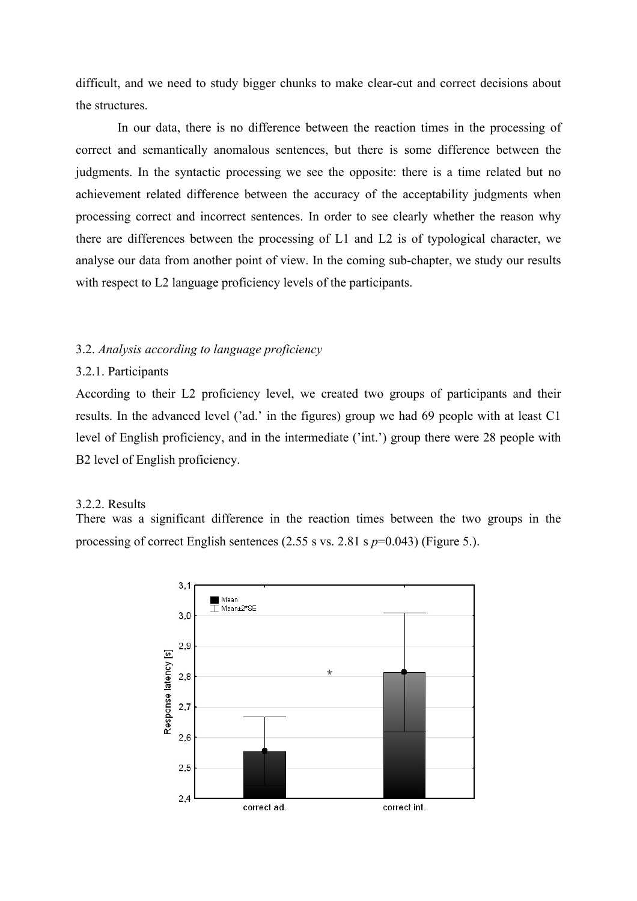difficult, and we need to study bigger chunks to make clear-cut and correct decisions about the structures.

In our data, there is no difference between the reaction times in the processing of correct and semantically anomalous sentences, but there is some difference between the judgments. In the syntactic processing we see the opposite: there is a time related but no achievement related difference between the accuracy of the acceptability judgments when processing correct and incorrect sentences. In order to see clearly whether the reason why there are differences between the processing of L1 and L2 is of typological character, we analyse our data from another point of view. In the coming sub-chapter, we study our results with respect to L2 language proficiency levels of the participants.

# 3.2. *Analysis according to language proficiency*

# 3.2.1. Participants

According to their L2 proficiency level, we created two groups of participants and their results. In the advanced level ('ad.' in the figures) group we had 69 people with at least C1 level of English proficiency, and in the intermediate ('int.') group there were 28 people with B2 level of English proficiency.

#### 3.2.2. Results

There was a significant difference in the reaction times between the two groups in the processing of correct English sentences (2.55 s vs. 2.81 s *p*=0.043) (Figure 5.).

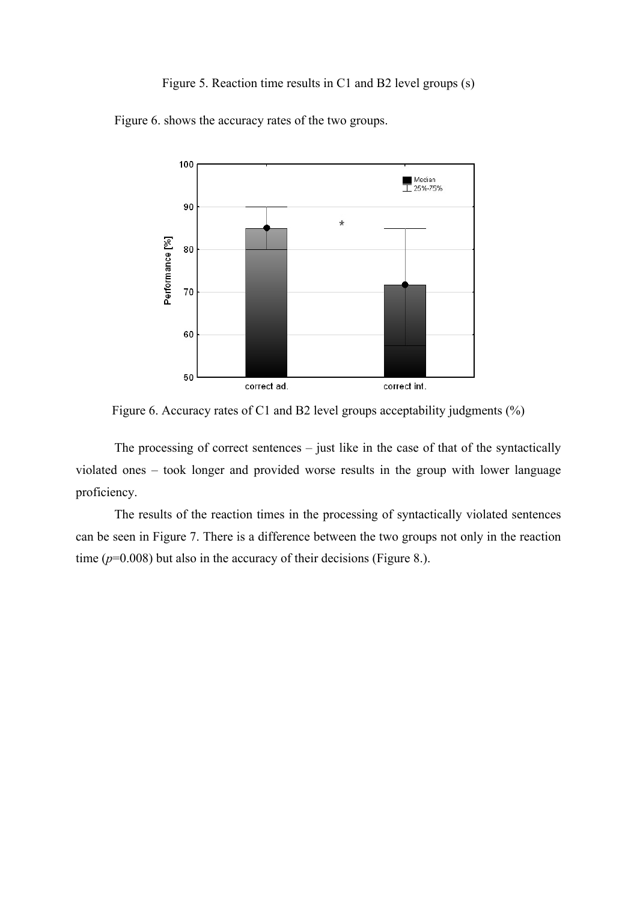# Figure 5. Reaction time results in C1 and B2 level groups (s)

Figure 6. shows the accuracy rates of the two groups.



Figure 6. Accuracy rates of C1 and B2 level groups acceptability judgments (%)

The processing of correct sentences – just like in the case of that of the syntactically violated ones – took longer and provided worse results in the group with lower language proficiency.

The results of the reaction times in the processing of syntactically violated sentences can be seen in Figure 7. There is a difference between the two groups not only in the reaction time  $(p=0.008)$  but also in the accuracy of their decisions (Figure 8.).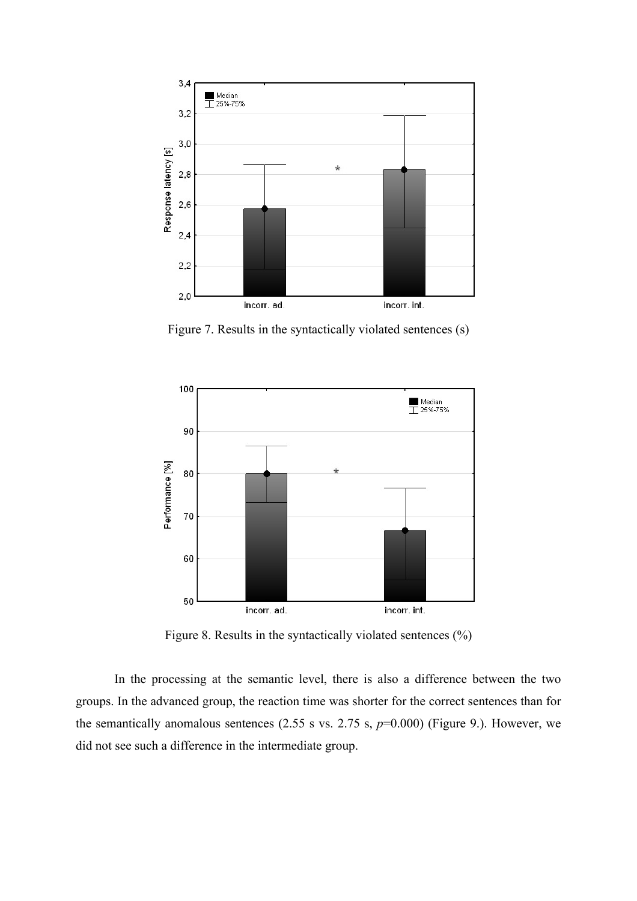

Figure 7. Results in the syntactically violated sentences (s)



Figure 8. Results in the syntactically violated sentences (%)

In the processing at the semantic level, there is also a difference between the two groups. In the advanced group, the reaction time was shorter for the correct sentences than for the semantically anomalous sentences  $(2.55 \text{ s vs. } 2.75 \text{ s}, p=0.000)$  (Figure 9.). However, we did not see such a difference in the intermediate group.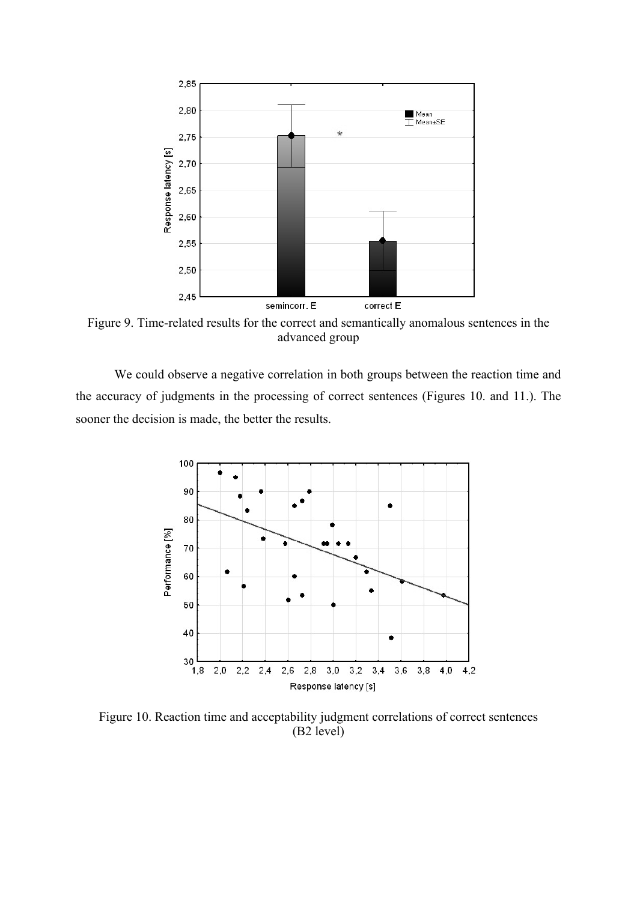

Figure 9. Time-related results for the correct and semantically anomalous sentences in the advanced group

We could observe a negative correlation in both groups between the reaction time and the accuracy of judgments in the processing of correct sentences (Figures 10. and 11.). The sooner the decision is made, the better the results.



Figure 10. Reaction time and acceptability judgment correlations of correct sentences (B2 level)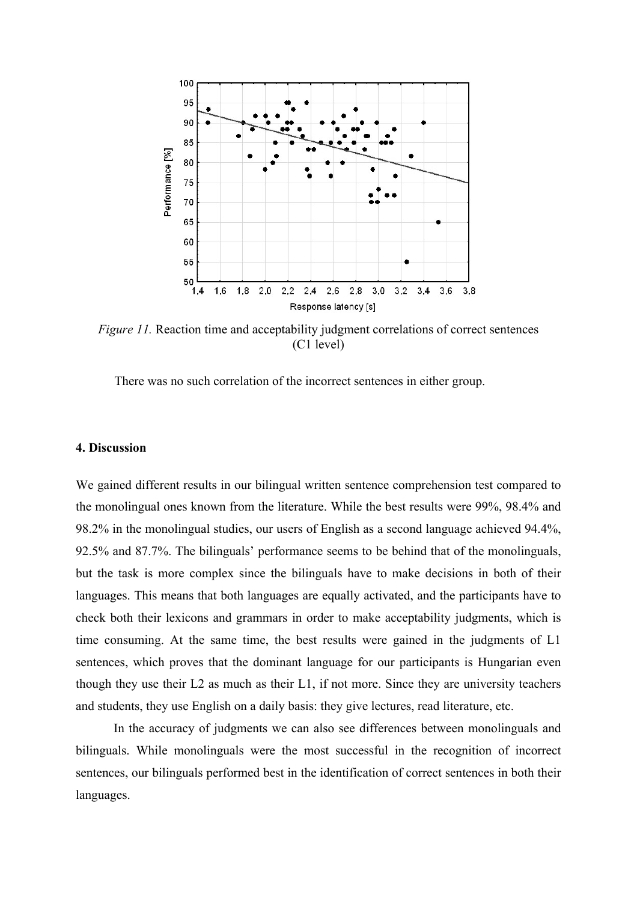

*Figure 11.* Reaction time and acceptability judgment correlations of correct sentences (C1 level)

There was no such correlation of the incorrect sentences in either group.

#### **4. Discussion**

We gained different results in our bilingual written sentence comprehension test compared to the monolingual ones known from the literature. While the best results were 99%, 98.4% and 98.2% in the monolingual studies, our users of English as a second language achieved 94.4%, 92.5% and 87.7%. The bilinguals' performance seems to be behind that of the monolinguals, but the task is more complex since the bilinguals have to make decisions in both of their languages. This means that both languages are equally activated, and the participants have to check both their lexicons and grammars in order to make acceptability judgments, which is time consuming. At the same time, the best results were gained in the judgments of L1 sentences, which proves that the dominant language for our participants is Hungarian even though they use their L2 as much as their L1, if not more. Since they are university teachers and students, they use English on a daily basis: they give lectures, read literature, etc.

In the accuracy of judgments we can also see differences between monolinguals and bilinguals. While monolinguals were the most successful in the recognition of incorrect sentences, our bilinguals performed best in the identification of correct sentences in both their languages.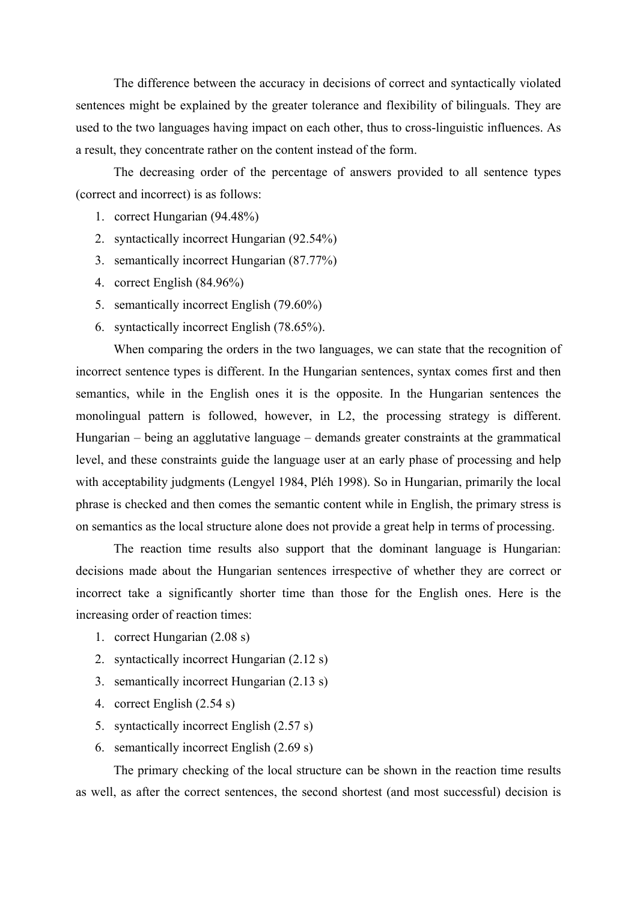The difference between the accuracy in decisions of correct and syntactically violated sentences might be explained by the greater tolerance and flexibility of bilinguals. They are used to the two languages having impact on each other, thus to cross-linguistic influences. As a result, they concentrate rather on the content instead of the form.

The decreasing order of the percentage of answers provided to all sentence types (correct and incorrect) is as follows:

- 1. correct Hungarian (94.48%)
- 2. syntactically incorrect Hungarian (92.54%)
- 3. semantically incorrect Hungarian (87.77%)
- 4. correct English (84.96%)
- 5. semantically incorrect English (79.60%)
- 6. syntactically incorrect English (78.65%).

When comparing the orders in the two languages, we can state that the recognition of incorrect sentence types is different. In the Hungarian sentences, syntax comes first and then semantics, while in the English ones it is the opposite. In the Hungarian sentences the monolingual pattern is followed, however, in L2, the processing strategy is different. Hungarian – being an agglutative language – demands greater constraints at the grammatical level, and these constraints guide the language user at an early phase of processing and help with acceptability judgments (Lengyel 1984, Pléh 1998). So in Hungarian, primarily the local phrase is checked and then comes the semantic content while in English, the primary stress is on semantics as the local structure alone does not provide a great help in terms of processing.

The reaction time results also support that the dominant language is Hungarian: decisions made about the Hungarian sentences irrespective of whether they are correct or incorrect take a significantly shorter time than those for the English ones. Here is the increasing order of reaction times:

- 1. correct Hungarian (2.08 s)
- 2. syntactically incorrect Hungarian (2.12 s)
- 3. semantically incorrect Hungarian (2.13 s)
- 4. correct English (2.54 s)
- 5. syntactically incorrect English (2.57 s)
- 6. semantically incorrect English (2.69 s)

The primary checking of the local structure can be shown in the reaction time results as well, as after the correct sentences, the second shortest (and most successful) decision is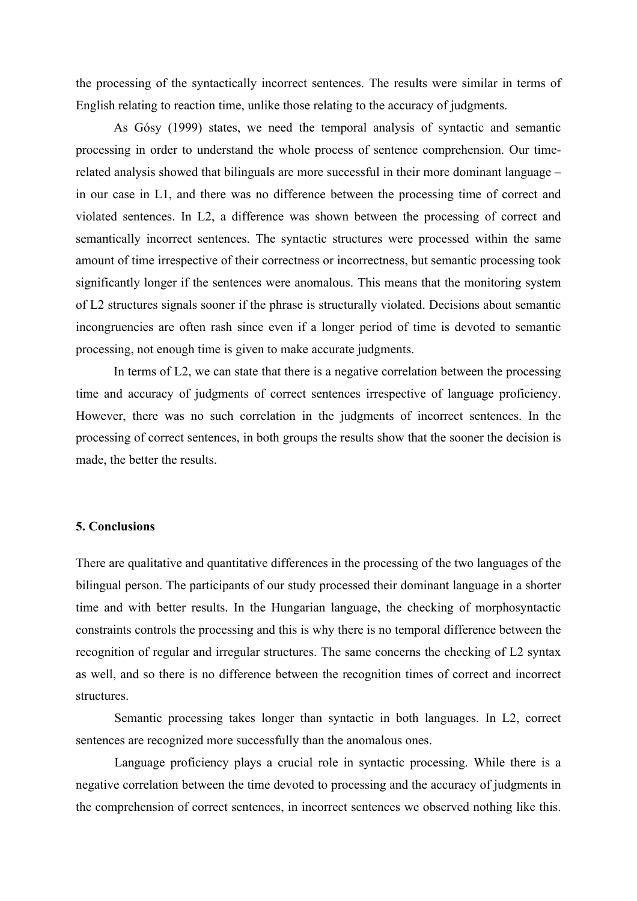the processing of the syntactically incorrect sentences. The results were similar in terms of English relating to reaction time, unlike those relating to the accuracy of judgments.

As Gósy (1999) states, we need the temporal analysis of syntactic and semantic processing in order to understand the whole process of sentence comprehension. Our timerelated analysis showed that bilinguals are more successful in their more dominant language – in our case in L1, and there was no difference between the processing time of correct and violated sentences. In L2, a difference was shown between the processing of correct and semantically incorrect sentences. The syntactic structures were processed within the same amount of time irrespective of their correctness or incorrectness, but semantic processing took significantly longer if the sentences were anomalous. This means that the monitoring system of L2 structures signals sooner if the phrase is structurally violated. Decisions about semantic incongruencies are often rash since even if a longer period of time is devoted to semantic processing, not enough time is given to make accurate judgments.

In terms of L2, we can state that there is a negative correlation between the processing time and accuracy of judgments of correct sentences irrespective of language proficiency. However, there was no such correlation in the judgments of incorrect sentences. In the processing of correct sentences, in both groups the results show that the sooner the decision is made, the better the results.

#### **5. Conclusions**

There are qualitative and quantitative differences in the processing of the two languages of the bilingual person. The participants of our study processed their dominant language in a shorter time and with better results. In the Hungarian language, the checking of morphosyntactic constraints controls the processing and this is why there is no temporal difference between the recognition of regular and irregular structures. The same concerns the checking of L2 syntax as well, and so there is no difference between the recognition times of correct and incorrect structures.

Semantic processing takes longer than syntactic in both languages. In L2, correct sentences are recognized more successfully than the anomalous ones.

Language proficiency plays a crucial role in syntactic processing. While there is a negative correlation between the time devoted to processing and the accuracy of judgments in the comprehension of correct sentences, in incorrect sentences we observed nothing like this.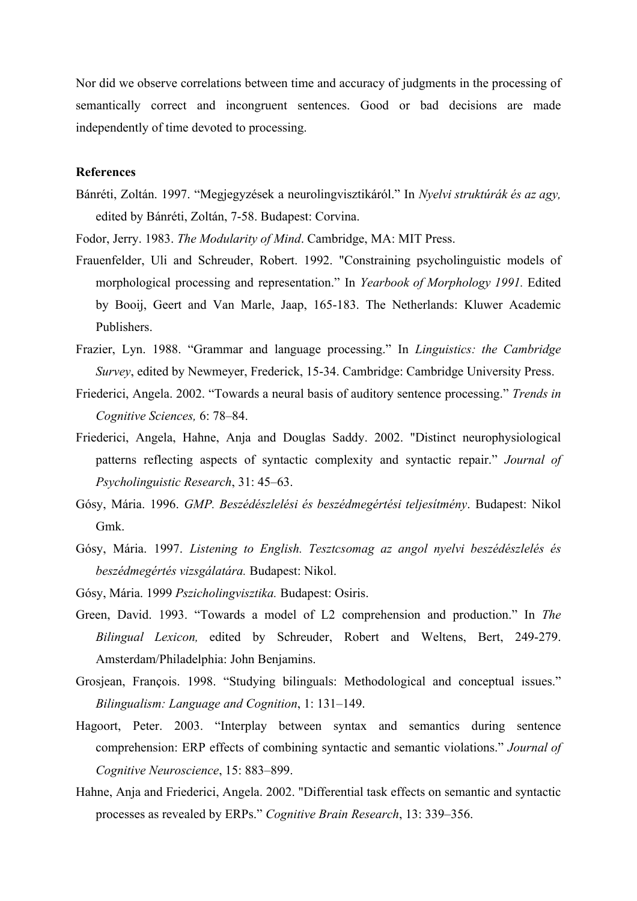Nor did we observe correlations between time and accuracy of judgments in the processing of semantically correct and incongruent sentences. Good or bad decisions are made independently of time devoted to processing.

# **References**

- Bánréti, Zoltán. 1997. "Megjegyzések a neurolingvisztikáról." In *Nyelvi struktúrák és az agy,* edited by Bánréti, Zoltán, 7-58. Budapest: Corvina.
- Fodor, Jerry. 1983. *The Modularity of Mind*. Cambridge, MA: MIT Press.
- Frauenfelder, Uli and Schreuder, Robert. 1992. "Constraining psycholinguistic models of morphological processing and representation." In *Yearbook of Morphology 1991.* Edited by Booij, Geert and Van Marle, Jaap, 165-183. The Netherlands: Kluwer Academic Publishers.
- Frazier, Lyn. 1988. "Grammar and language processing." In *Linguistics: the Cambridge Survey*, edited by Newmeyer, Frederick, 15-34. Cambridge: Cambridge University Press.
- Friederici, Angela. 2002. "Towards a neural basis of auditory sentence processing." *Trends in Cognitive Sciences,* 6: 78–84.
- Friederici, Angela, Hahne, Anja and Douglas Saddy. 2002. "Distinct neurophysiological patterns reflecting aspects of syntactic complexity and syntactic repair." *Journal of Psycholinguistic Research*, 31: 45–63.
- Gósy, Mária. 1996. *GMP. Beszédészlelési és beszédmegértési teljesítmény*. Budapest: Nikol Gmk.
- Gósy, Mária. 1997. *Listening to English. Tesztcsomag az angol nyelvi beszédészlelés és beszédmegértés vizsgálatára.* Budapest: Nikol.
- Gósy, Mária. 1999 *Pszicholingvisztika.* Budapest: Osiris.
- Green, David. 1993. "Towards a model of L2 comprehension and production." In *The Bilingual Lexicon,* edited by Schreuder, Robert and Weltens, Bert, 249-279. Amsterdam/Philadelphia: John Benjamins.
- Grosjean, François. 1998. "Studying bilinguals: Methodological and conceptual issues." *Bilingualism: Language and Cognition*, 1: 131–149.
- Hagoort, Peter. 2003. "Interplay between syntax and semantics during sentence comprehension: ERP effects of combining syntactic and semantic violations." *Journal of Cognitive Neuroscience*, 15: 883–899.
- Hahne, Anja and Friederici, Angela. 2002. "Differential task effects on semantic and syntactic processes as revealed by ERPs." *Cognitive Brain Research*, 13: 339–356.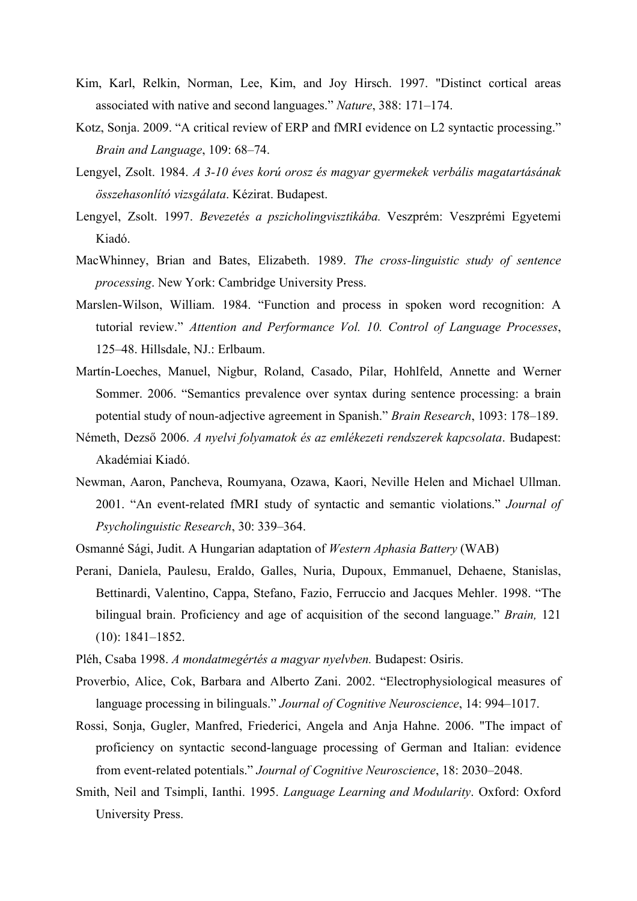- Kim, Karl, Relkin, Norman, Lee, Kim, and Joy Hirsch. 1997. "Distinct cortical areas associated with native and second languages." *Nature*, 388: 171–174.
- Kotz, Sonja. 2009. "A critical review of ERP and fMRI evidence on L2 syntactic processing." *Brain and Language*, 109: 68–74.
- Lengyel, Zsolt. 1984. *A 3-10 éves korú orosz és magyar gyermekek verbális magatartásának összehasonlító vizsgálata*. Kézirat. Budapest.
- Lengyel, Zsolt. 1997. *Bevezetés a pszicholingvisztikába.* Veszprém: Veszprémi Egyetemi Kiadó.
- MacWhinney, Brian and Bates, Elizabeth. 1989. *The cross-linguistic study of sentence processing*. New York: Cambridge University Press.
- Marslen-Wilson, William. 1984. "Function and process in spoken word recognition: A tutorial review." *Attention and Performance Vol. 10. Control of Language Processes*, 125–48. Hillsdale, NJ.: Erlbaum.
- Martín-Loeches, Manuel, Nigbur, Roland, Casado, Pilar, Hohlfeld, Annette and Werner Sommer. 2006. "Semantics prevalence over syntax during sentence processing: a brain potential study of noun-adjective agreement in Spanish." *Brain Research*, 1093: 178–189.
- Németh, Dezső 2006. *A nyelvi folyamatok és az emlékezeti rendszerek kapcsolata*. Budapest: Akadémiai Kiadó.
- Newman, Aaron, Pancheva, Roumyana, Ozawa, Kaori, Neville Helen and Michael Ullman. 2001. "An event-related fMRI study of syntactic and semantic violations." *Journal of Psycholinguistic Research*, 30: 339–364.
- Osmanné Sági, Judit. A Hungarian adaptation of *Western Aphasia Battery* (WAB)
- Perani, Daniela, Paulesu, Eraldo, Galles, Nuria, Dupoux, Emmanuel, Dehaene, Stanislas, Bettinardi, Valentino, Cappa, Stefano, Fazio, Ferruccio and Jacques Mehler. 1998. "The bilingual brain. Proficiency and age of acquisition of the second language." *Brain,* 121 (10): 1841–1852.
- Pléh, Csaba 1998. *A mondatmegértés a magyar nyelvben.* Budapest: Osiris.
- Proverbio, Alice, Cok, Barbara and Alberto Zani. 2002. "Electrophysiological measures of language processing in bilinguals." *Journal of Cognitive Neuroscience*, 14: 994–1017.
- Rossi, Sonja, Gugler, Manfred, Friederici, Angela and Anja Hahne. 2006. "The impact of proficiency on syntactic second-language processing of German and Italian: evidence from event-related potentials." *Journal of Cognitive Neuroscience*, 18: 2030–2048.
- Smith, Neil and Tsimpli, Ianthi. 1995. *Language Learning and Modularity*. Oxford: Oxford University Press.